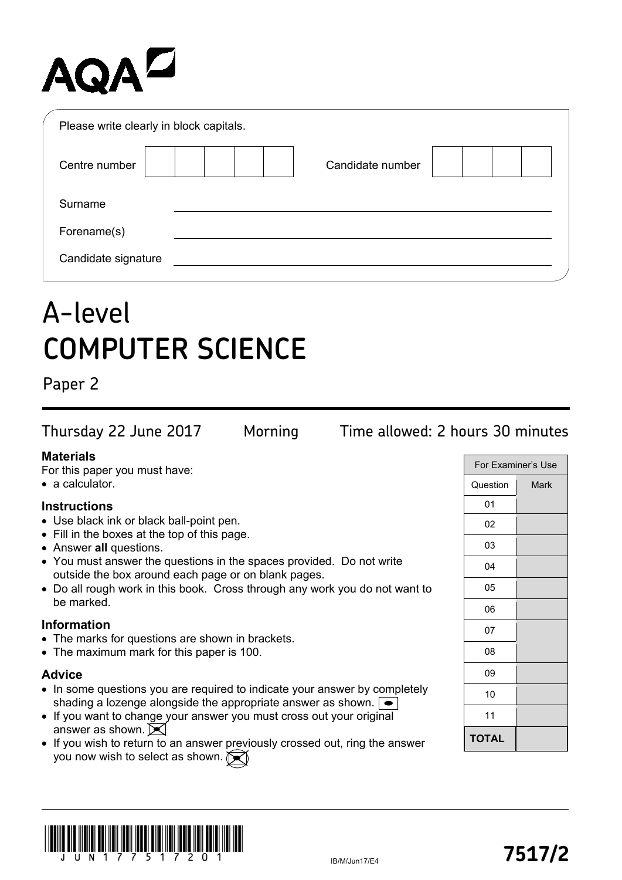# AQAZ

| Please write clearly in block capitals. |                  |  |
|-----------------------------------------|------------------|--|
| Centre number                           | Candidate number |  |
| Surname                                 |                  |  |
| Forename(s)                             |                  |  |
| Candidate signature                     |                  |  |

## A-level **COMPUTER SCIENCE**

Paper 2

Thursday 22 June 2017 Morning Time allowed: 2 hours 30 minutes

## **Materials**

For this paper you must have:

• a calculator.

## **Instructions**

- Use black ink or black ball-point pen.
- Fill in the boxes at the top of this page.
- Answer **all** questions.
- You must answer the questions in the spaces provided. Do not write outside the box around each page or on blank pages.
- Do all rough work in this book. Cross through any work you do not want to be marked.

#### **Information**

- The marks for questions are shown in brackets.
- The maximum mark for this paper is 100.

#### **Advice**

- In some questions you are required to indicate your answer by completely shading a lozenge alongside the appropriate answer as shown.
- If you want to change your answer you must cross out your original answer as shown.  $\blacktriangleright$
- If you wish to return to an answer previously crossed out, ring the answer you now wish to select as shown.

| For Examiner's Use |      |
|--------------------|------|
| Question           | Mark |
| 01                 |      |
| 02                 |      |
| 03                 |      |
| 04                 |      |
| 05                 |      |
| 06                 |      |
| 07                 |      |
| 08                 |      |
| 09                 |      |
| 10                 |      |
| 11                 |      |
| TOTAL              |      |

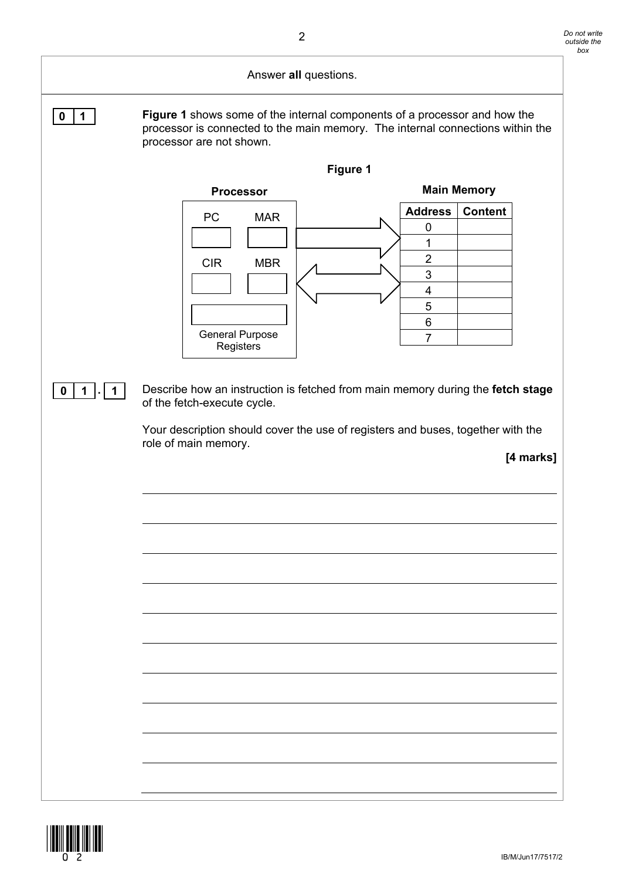#### Answer **all** questions.

**0 1 Figure 1** shows some of the internal components of a processor and how the processor is connected to the main memory. The internal connections within the processor are not shown.



**0 1 . 1** Describe how an instruction is fetched from main memory during the **fetch stage** of the fetch-execute cycle.

> Your description should cover the use of registers and buses, together with the role of main memory.

**[4 marks]**

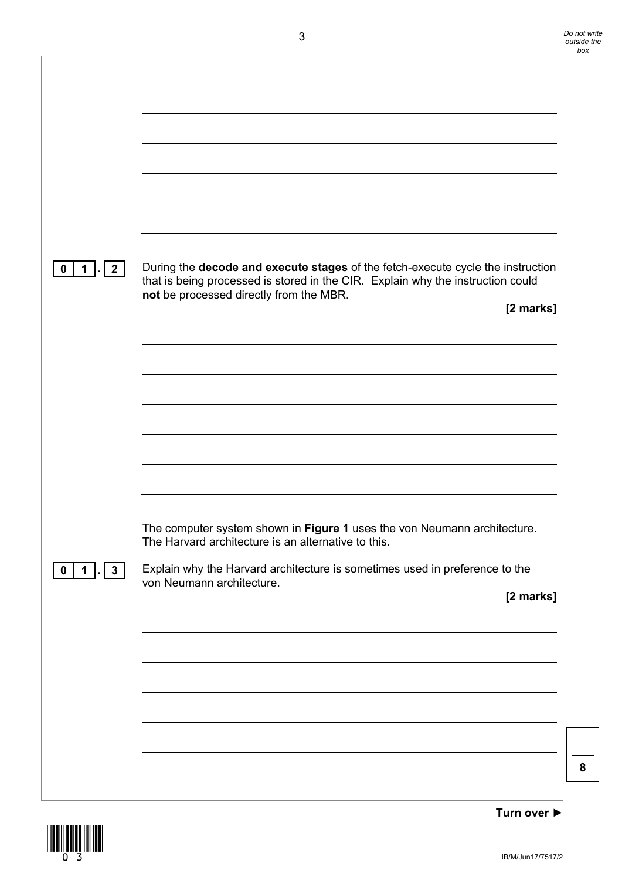| $\mathbf 0$<br>$\overline{\mathbf{2}}$<br>$\mathbf 1$ | During the decode and execute stages of the fetch-execute cycle the instruction |
|-------------------------------------------------------|---------------------------------------------------------------------------------|
|                                                       | that is being processed is stored in the CIR. Explain why the instruction could |
|                                                       | not be processed directly from the MBR.                                         |
|                                                       | [2 marks]                                                                       |
|                                                       |                                                                                 |
|                                                       |                                                                                 |
|                                                       |                                                                                 |
|                                                       |                                                                                 |
|                                                       |                                                                                 |
|                                                       |                                                                                 |
|                                                       |                                                                                 |
|                                                       |                                                                                 |
|                                                       |                                                                                 |
|                                                       |                                                                                 |
|                                                       |                                                                                 |
|                                                       |                                                                                 |
|                                                       |                                                                                 |
|                                                       |                                                                                 |
|                                                       |                                                                                 |
|                                                       | The computer system shown in Figure 1 uses the von Neumann architecture.        |
|                                                       | The Harvard architecture is an alternative to this.                             |
|                                                       |                                                                                 |
| $\mathbf 0$<br>$\mathbf 1$<br>$\mathbf{3}$            | Explain why the Harvard architecture is sometimes used in preference to the     |
|                                                       | von Neumann architecture.                                                       |
|                                                       | [2 marks]                                                                       |
|                                                       |                                                                                 |
|                                                       |                                                                                 |
|                                                       |                                                                                 |
|                                                       |                                                                                 |
|                                                       |                                                                                 |
|                                                       |                                                                                 |
|                                                       |                                                                                 |
|                                                       |                                                                                 |
|                                                       |                                                                                 |
|                                                       |                                                                                 |
|                                                       |                                                                                 |
|                                                       |                                                                                 |
|                                                       |                                                                                 |
|                                                       |                                                                                 |

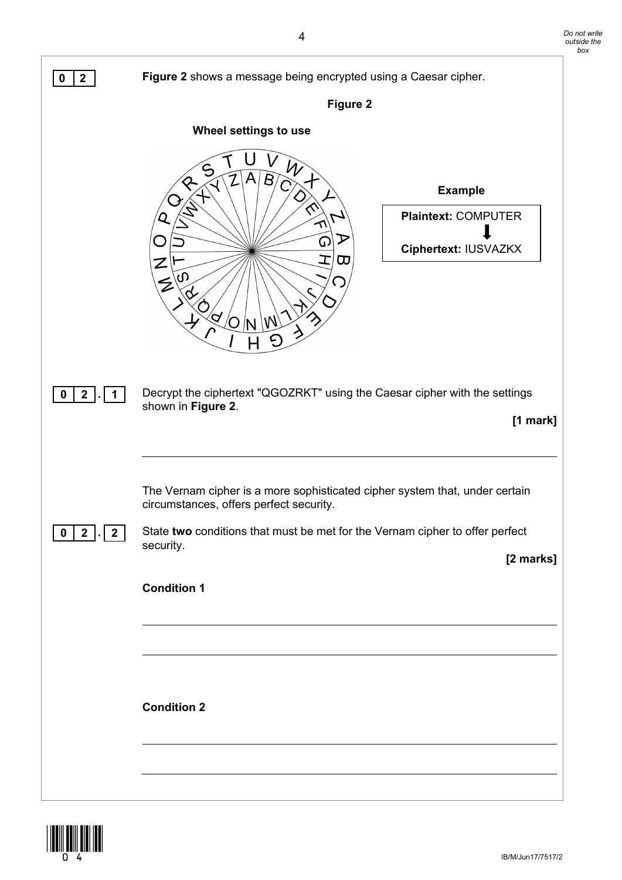

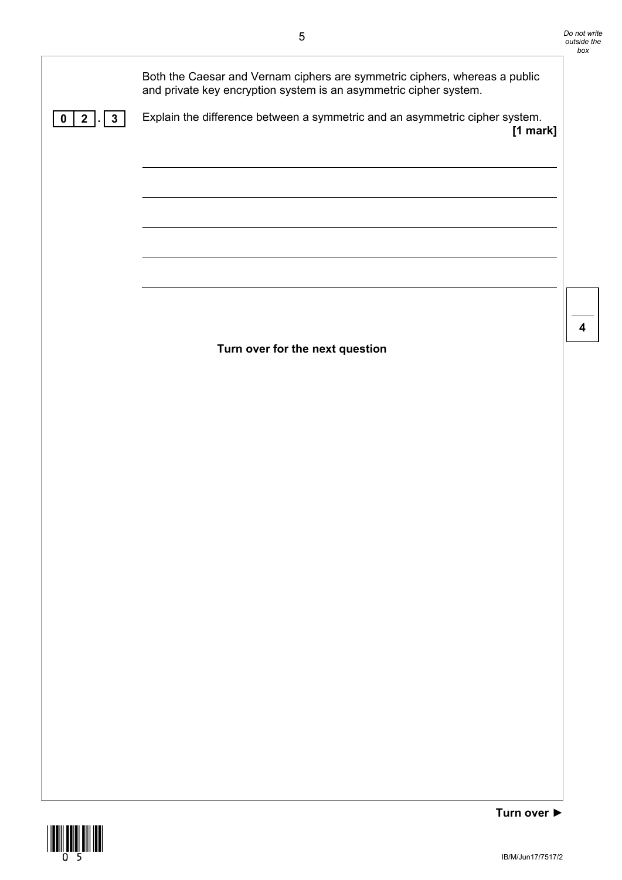| $2$ .<br>$\mathbf{3}$<br>0 | Both the Caesar and Vernam ciphers are symmetric ciphers, whereas a public<br>and private key encryption system is an asymmetric cipher system.<br>Explain the difference between a symmetric and an asymmetric cipher system.<br>[1 mark] |  |
|----------------------------|--------------------------------------------------------------------------------------------------------------------------------------------------------------------------------------------------------------------------------------------|--|
|                            | Turn over for the next question                                                                                                                                                                                                            |  |
|                            |                                                                                                                                                                                                                                            |  |
|                            |                                                                                                                                                                                                                                            |  |

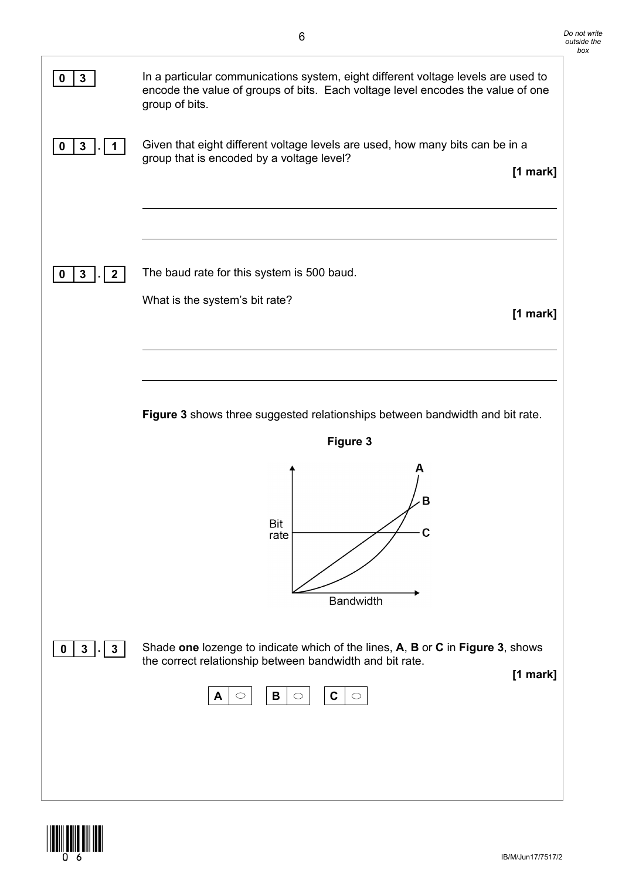

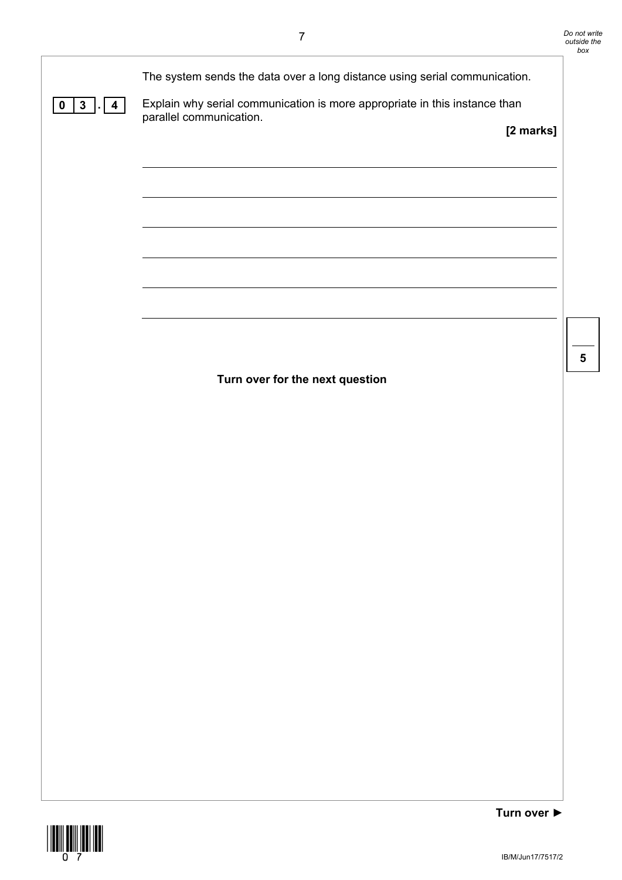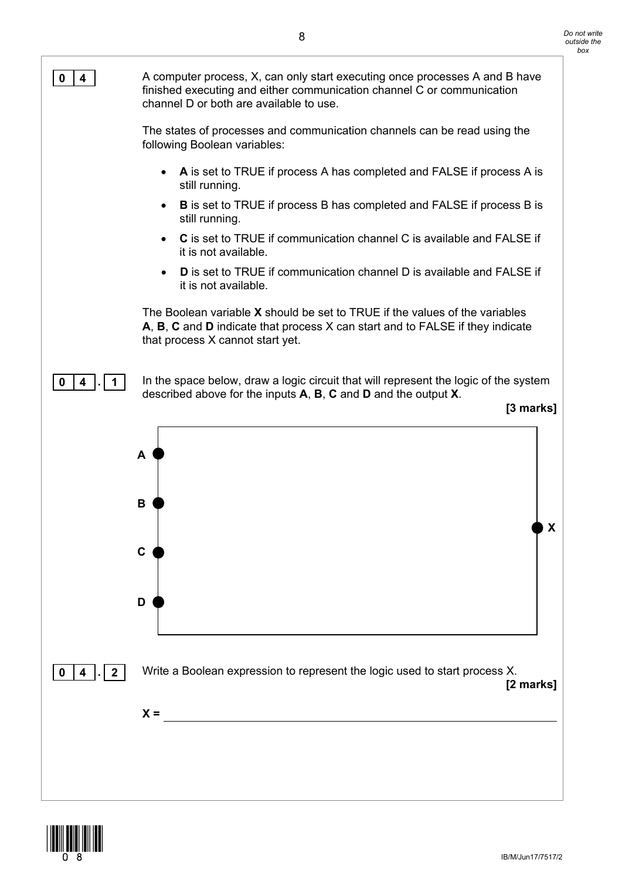

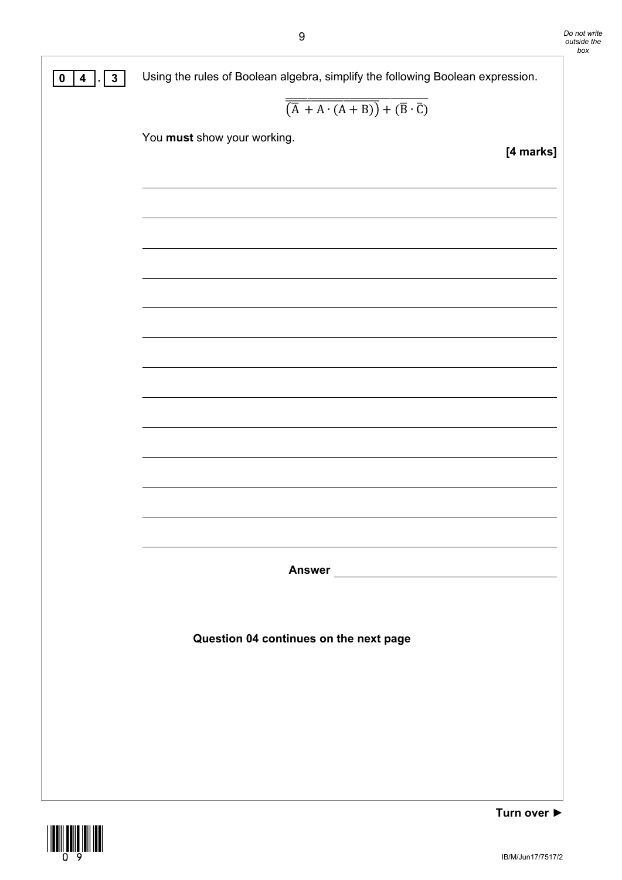

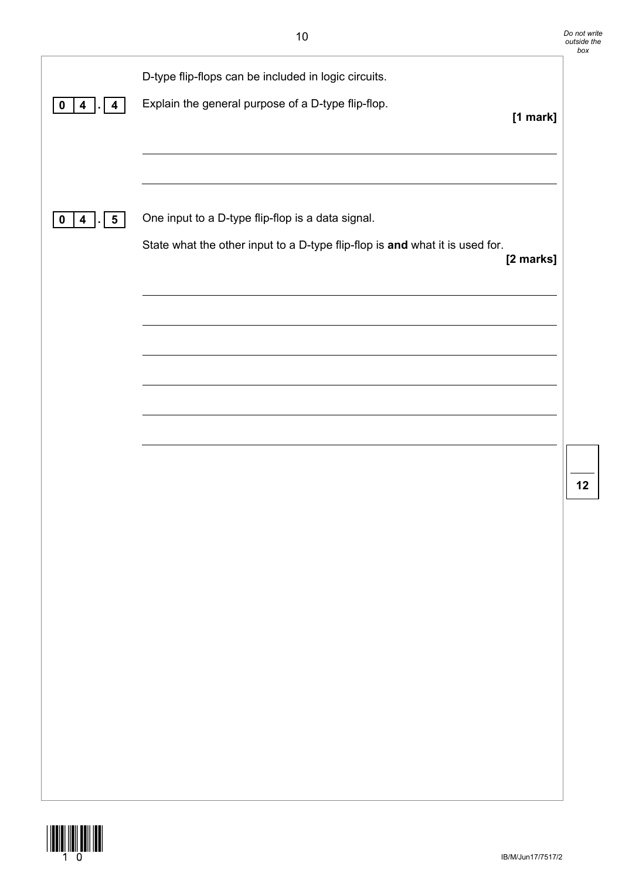| 0<br>4<br>4                                             | D-type flip-flops can be included in logic circuits.<br>Explain the general purpose of a D-type flip-flop.                        | $[1$ mark] |    |
|---------------------------------------------------------|-----------------------------------------------------------------------------------------------------------------------------------|------------|----|
| $\overline{\mathbf{4}}$<br>$\overline{\mathbf{5}}$<br>0 | One input to a D-type flip-flop is a data signal.<br>State what the other input to a D-type flip-flop is and what it is used for. | [2 marks]  |    |
|                                                         |                                                                                                                                   |            |    |
|                                                         |                                                                                                                                   |            | 12 |
|                                                         |                                                                                                                                   |            |    |
|                                                         |                                                                                                                                   |            |    |
|                                                         |                                                                                                                                   |            |    |

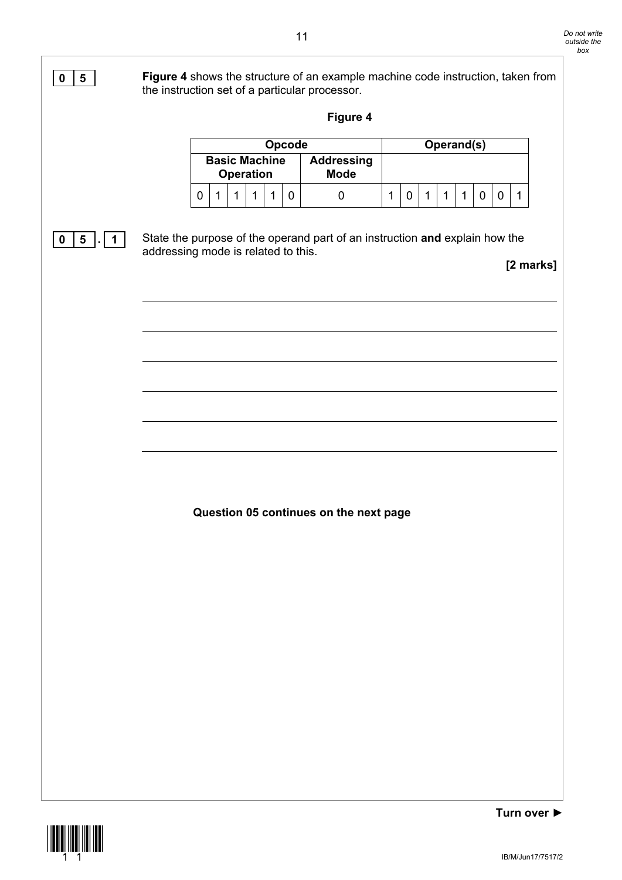

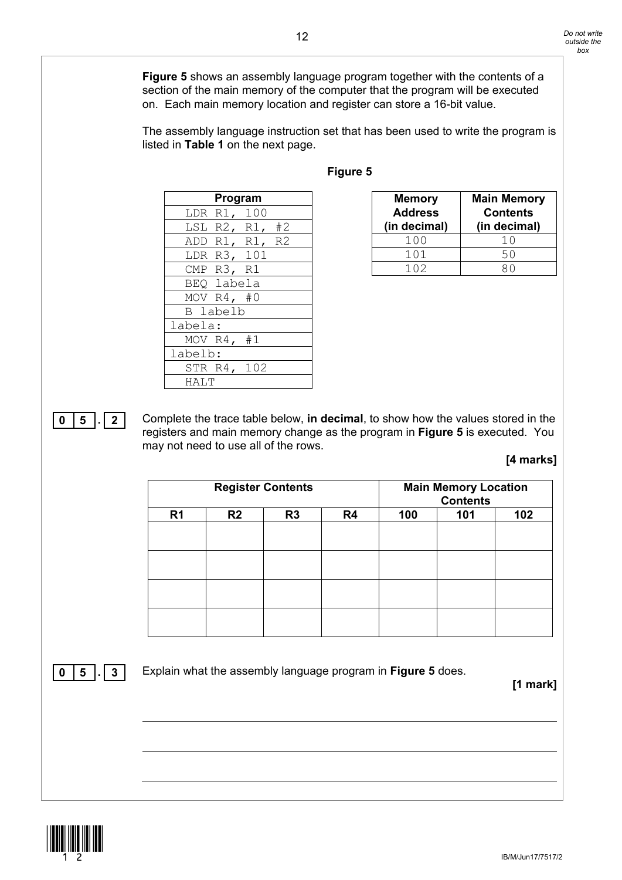**Figure 5** shows an assembly language program together with the contents of a section of the main memory of the computer that the program will be executed on. Each main memory location and register can store a 16-bit value.

The assembly language instruction set that has been used to write the program is listed in **Table 1** on the next page.

|                 | Program        |
|-----------------|----------------|
| LDR R1, 100     |                |
| LSL R2, R1, #2  |                |
|                 | ADD R1, R1, R2 |
| LDR R3, 101     |                |
| CMP R3, R1      |                |
| BEQ labela      |                |
| MOV $R4, #0$    |                |
| <b>B</b> labelb |                |
| labela:         |                |
| MOV $R4, #1$    |                |
| labelb:         |                |
| STR R4, 102     |                |
| HALT            |                |

#### **Figure 5**

| <b>Memory</b><br><b>Address</b><br>(in decimal) | <b>Main Memory</b><br><b>Contents</b><br>(in decimal) |
|-------------------------------------------------|-------------------------------------------------------|
| 100                                             | 10                                                    |
| 101                                             | 50                                                    |
| 1 N 2                                           |                                                       |

**0 5 . 2** Complete the trace table below, **in decimal**, to show how the values stored in the registers and main memory change as the program in **Figure 5** is executed. You may not need to use all of the rows.

#### **[4 marks]**

|                |    | <b>Register Contents</b> |    |     | <b>Main Memory Location</b><br><b>Contents</b> |     |
|----------------|----|--------------------------|----|-----|------------------------------------------------|-----|
| R <sub>1</sub> | R2 | R <sub>3</sub>           | R4 | 100 | 101                                            | 102 |
|                |    |                          |    |     |                                                |     |
|                |    |                          |    |     |                                                |     |
|                |    |                          |    |     |                                                |     |
|                |    |                          |    |     |                                                |     |
|                |    |                          |    |     |                                                |     |
|                |    |                          |    |     |                                                |     |
|                |    |                          |    |     |                                                |     |
|                |    |                          |    |     |                                                |     |

**0 5 . 3** Explain what the assembly language program in **Figure 5** does.

**[1 mark]**

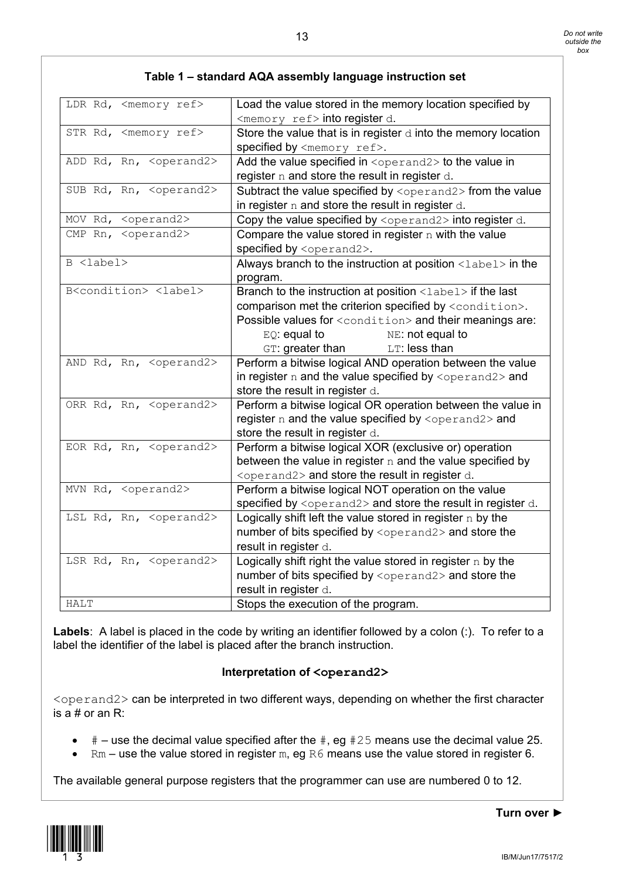| LDR Rd, <memory ref=""></memory>                             | Load the value stored in the memory location specified by<br><memory ref=""> into register d.</memory> |
|--------------------------------------------------------------|--------------------------------------------------------------------------------------------------------|
| STR Rd, <memory ref=""></memory>                             | Store the value that is in register $d$ into the memory location                                       |
|                                                              |                                                                                                        |
|                                                              | specified by <memory ref="">.</memory>                                                                 |
| ADD Rd, Rn, <operand2></operand2>                            | Add the value specified in <operand2> to the value in</operand2>                                       |
|                                                              | register n and store the result in register d.                                                         |
| SUB Rd, Rn, <operand2></operand2>                            | Subtract the value specified by <operand2> from the value</operand2>                                   |
|                                                              | in register $n$ and store the result in register $d$ .                                                 |
| MOV Rd, <operand2></operand2>                                | Copy the value specified by $\langle$ operand2> into register d.                                       |
| $\overline{\text{CMP}$ Rn, $\langle \text{operand2} \rangle$ | Compare the value stored in register $n$ with the value                                                |
|                                                              | specified by <operand2>.</operand2>                                                                    |
| B <label></label>                                            | Always branch to the instruction at position <label> in the</label>                                    |
|                                                              | program.                                                                                               |
| B <condition> <label></label></condition>                    | Branch to the instruction at position <label> if the last</label>                                      |
|                                                              | comparison met the criterion specified by <condition>.</condition>                                     |
|                                                              | Possible values for <condition> and their meanings are:</condition>                                    |
|                                                              | $EQ$ : equal to<br>NE: not equal to                                                                    |
|                                                              | GT: greater than<br>LT: less than                                                                      |
| AND Rd, Rn, <operand2></operand2>                            | Perform a bitwise logical AND operation between the value                                              |
|                                                              | in register n and the value specified by <operand2> and</operand2>                                     |
|                                                              | store the result in register d.                                                                        |
| ORR Rd, Rn, <operand2></operand2>                            | Perform a bitwise logical OR operation between the value in                                            |
|                                                              | register n and the value specified by <operand2> and</operand2>                                        |
|                                                              | store the result in register d.                                                                        |
| EOR Rd, Rn, <operand2></operand2>                            | Perform a bitwise logical XOR (exclusive or) operation                                                 |
|                                                              | between the value in register $n$ and the value specified by                                           |
|                                                              |                                                                                                        |
|                                                              | <operand2> and store the result in register d.</operand2>                                              |
| MVN Rd, <operand2></operand2>                                | Perform a bitwise logical NOT operation on the value                                                   |
|                                                              | specified by <operand2> and store the result in register d.</operand2>                                 |
| LSL Rd, Rn, <operand2></operand2>                            | Logically shift left the value stored in register $n$ by the                                           |
|                                                              | number of bits specified by <operand2> and store the</operand2>                                        |
|                                                              | result in register d.                                                                                  |
| LSR Rd, Rn, <operand2></operand2>                            | Logically shift right the value stored in register $n$ by the                                          |
|                                                              | number of bits specified by <operand2> and store the</operand2>                                        |
|                                                              | result in register d.                                                                                  |
| <b>HALT</b>                                                  | Stops the execution of the program.                                                                    |

#### **Table 1 – standard AQA assembly language instruction set**

**Labels**: A label is placed in the code by writing an identifier followed by a colon (:). To refer to a label the identifier of the label is placed after the branch instruction.

#### **Interpretation of <operand2>**

<operand2> can be interpreted in two different ways, depending on whether the first character is a  $#$  or an R:

- $\#$  use the decimal value specified after the  $\#$ , eg  $\#25$  means use the decimal value 25.<br>• Rm use the value stored in register m, eg R6 means use the value stored in register 6.
- $Rm -$  use the value stored in register m, eg R6 means use the value stored in register 6.

The available general purpose registers that the programmer can use are numbered 0 to 12.

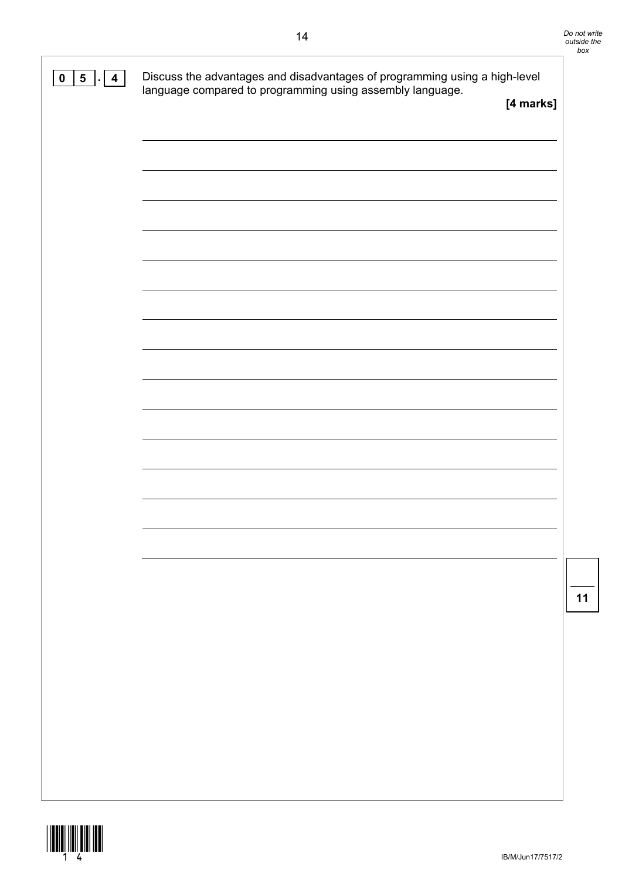| $\overline{\mathbf{5}}$<br>$\pmb{0}$<br>$\overline{\mathbf{4}}$ | Discuss the advantages and disadvantages of programming using a high-level<br>language compared to programming using assembly language. | [4 marks] |
|-----------------------------------------------------------------|-----------------------------------------------------------------------------------------------------------------------------------------|-----------|
|                                                                 |                                                                                                                                         |           |
|                                                                 |                                                                                                                                         |           |
|                                                                 |                                                                                                                                         |           |
|                                                                 |                                                                                                                                         |           |
|                                                                 |                                                                                                                                         |           |
|                                                                 |                                                                                                                                         |           |
|                                                                 |                                                                                                                                         |           |
|                                                                 |                                                                                                                                         |           |
|                                                                 |                                                                                                                                         |           |
|                                                                 |                                                                                                                                         |           |
|                                                                 |                                                                                                                                         |           |

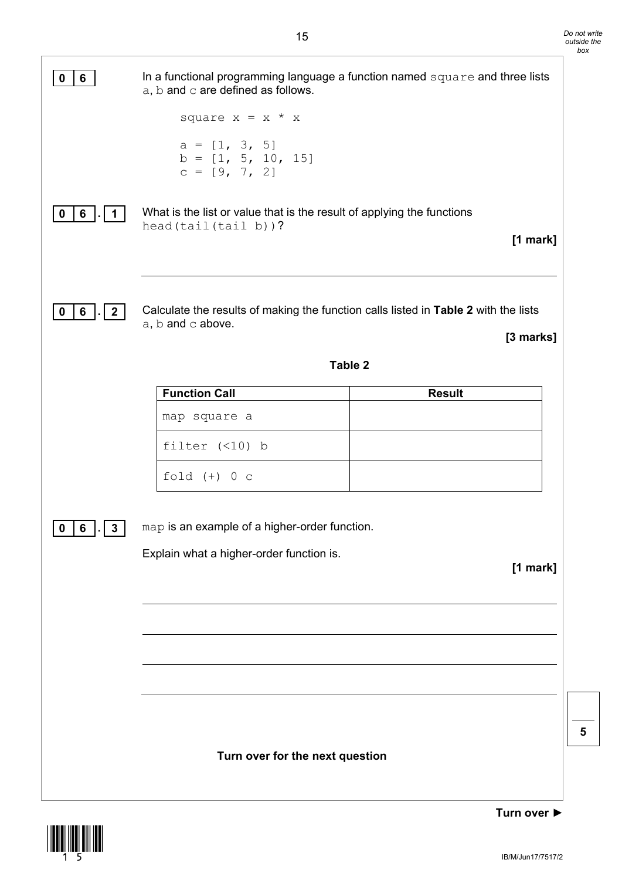| $6\phantom{a}$<br>0                      | In a functional programming language a function named square and three lists<br>a, b and c are defined as follows. |               |
|------------------------------------------|--------------------------------------------------------------------------------------------------------------------|---------------|
|                                          | square $x = x * x$                                                                                                 |               |
|                                          | $a = [1, 3, 5]$<br>$b = [1, 5, 10, 15]$<br>$c = [9, 7, 2]$                                                         |               |
| $6$   $\blacksquare$<br>0<br>$\mathbf 1$ | What is the list or value that is the result of applying the functions<br>$head(tail(tail b))$ ?                   | [1 mark]      |
|                                          |                                                                                                                    |               |
| 6<br>$\vert$ 2<br>0                      | Calculate the results of making the function calls listed in Table 2 with the lists<br>$a, b$ and $c$ above.       | [3 marks]     |
|                                          | <b>Table 2</b>                                                                                                     |               |
|                                          | <b>Function Call</b>                                                                                               | <b>Result</b> |
|                                          | map square a                                                                                                       |               |
|                                          | filter $(\leq 10)$ b                                                                                               |               |
|                                          | fold $(+)$ 0 c                                                                                                     |               |
| $\cdot$   3<br>$\pmb{0}$<br>6            | map is an example of a higher-order function.<br>Explain what a higher-order function is.                          | [1 mark]      |
|                                          |                                                                                                                    |               |
|                                          |                                                                                                                    |               |
|                                          | Turn over for the next question                                                                                    |               |

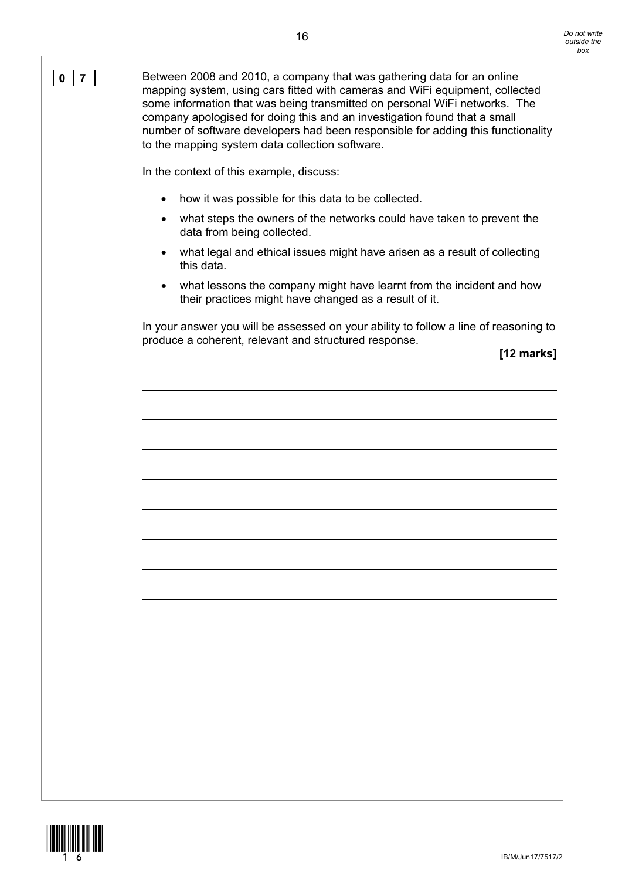**0 7** Between 2008 and 2010, a company that was gathering data for an online mapping system, using cars fitted with cameras and WiFi equipment, collected some information that was being transmitted on personal WiFi networks. The company apologised for doing this and an investigation found that a small number of software developers had been responsible for adding this functionality to the mapping system data collection software.

In the context of this example, discuss:

- how it was possible for this data to be collected.
- what steps the owners of the networks could have taken to prevent the data from being collected.
- what legal and ethical issues might have arisen as a result of collecting this data.
- what lessons the company might have learnt from the incident and how their practices might have changed as a result of it.

In your answer you will be assessed on your ability to follow a line of reasoning to produce a coherent, relevant and structured response.

**[12 marks]**

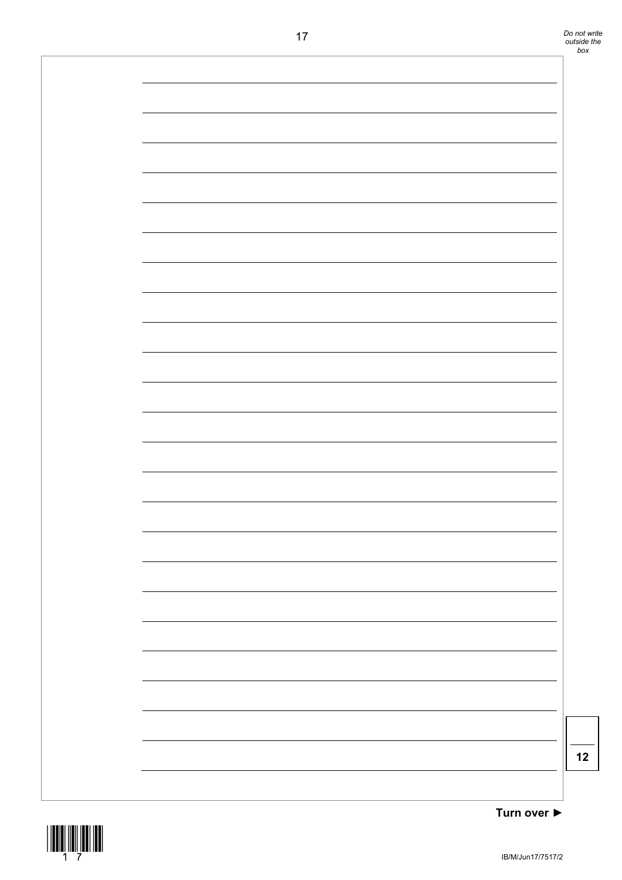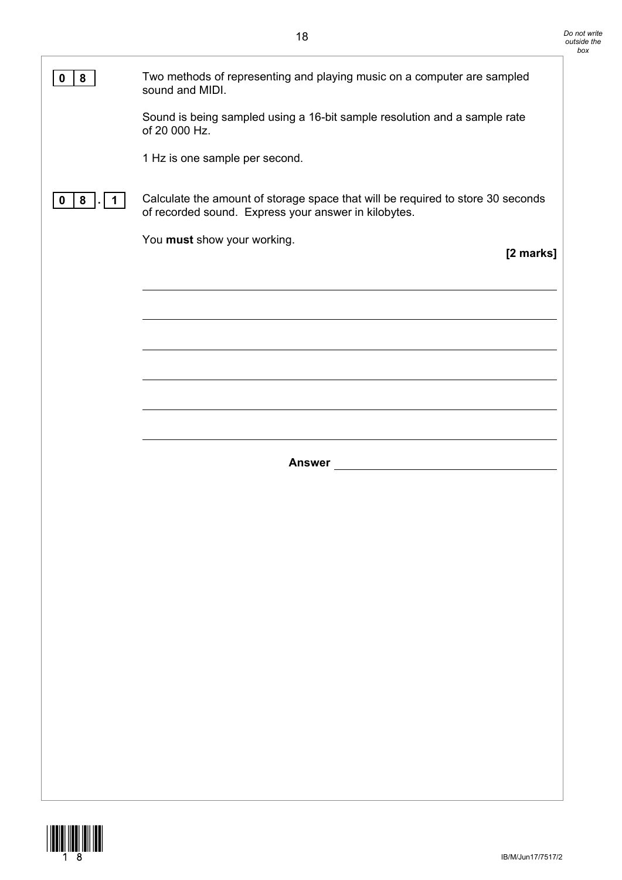| 8<br>0      | Two methods of representing and playing music on a computer are sampled<br>sound and MIDI.                                              |
|-------------|-----------------------------------------------------------------------------------------------------------------------------------------|
|             | Sound is being sampled using a 16-bit sample resolution and a sample rate<br>of 20 000 Hz.                                              |
|             | 1 Hz is one sample per second.                                                                                                          |
| 8<br>0<br>1 | Calculate the amount of storage space that will be required to store 30 seconds<br>of recorded sound. Express your answer in kilobytes. |
|             | You must show your working.<br>[2 marks]                                                                                                |
|             |                                                                                                                                         |
|             |                                                                                                                                         |
|             |                                                                                                                                         |
|             |                                                                                                                                         |
|             |                                                                                                                                         |
|             | <b>Answer</b>                                                                                                                           |
|             |                                                                                                                                         |
|             |                                                                                                                                         |
|             |                                                                                                                                         |
|             |                                                                                                                                         |
|             |                                                                                                                                         |
|             |                                                                                                                                         |
|             |                                                                                                                                         |
|             |                                                                                                                                         |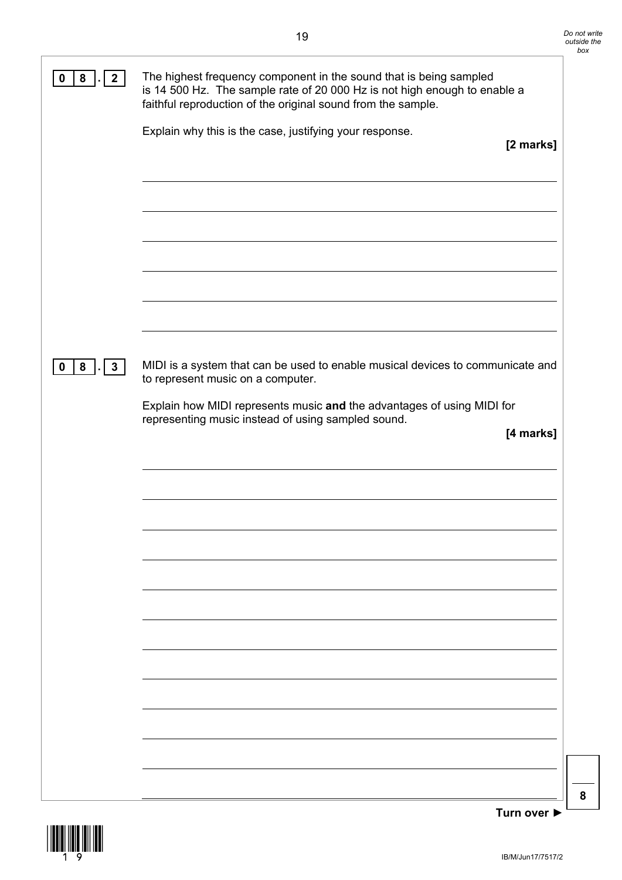| 8<br>$\mathbf{2}$ | The highest frequency component in the sound that is being sampled<br>is 14 500 Hz. The sample rate of 20 000 Hz is not high enough to enable a<br>faithful reproduction of the original sound from the sample.<br>Explain why this is the case, justifying your response.<br>[2 marks] |
|-------------------|-----------------------------------------------------------------------------------------------------------------------------------------------------------------------------------------------------------------------------------------------------------------------------------------|
|                   |                                                                                                                                                                                                                                                                                         |
| 8<br>3<br>0       | MIDI is a system that can be used to enable musical devices to communicate and<br>to represent music on a computer.<br>Explain how MIDI represents music and the advantages of using MIDI for<br>representing music instead of using sampled sound.<br>[4 marks]                        |
|                   |                                                                                                                                                                                                                                                                                         |
|                   |                                                                                                                                                                                                                                                                                         |
|                   |                                                                                                                                                                                                                                                                                         |

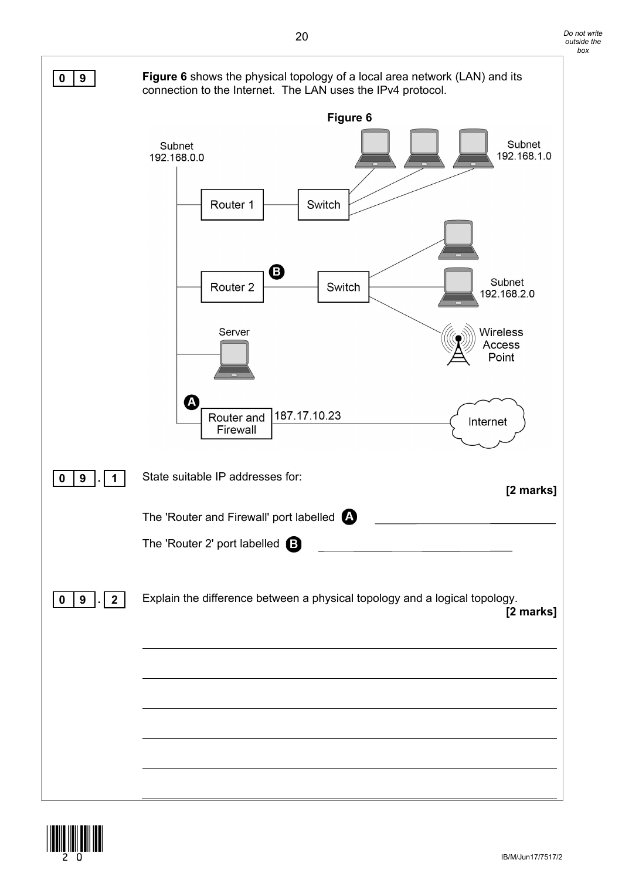

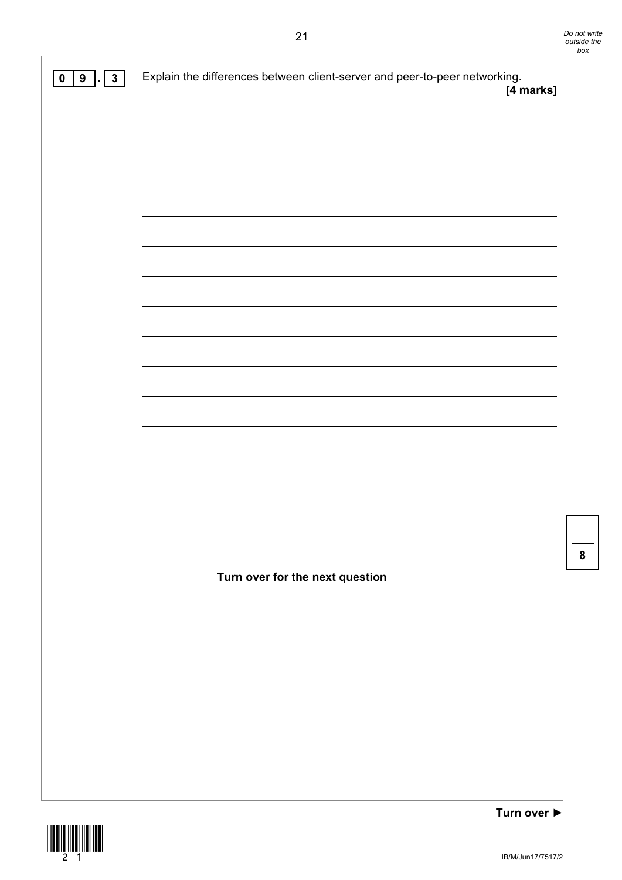| 9 <sup>1</sup><br>3 <sup>1</sup><br>$\pmb{0}$ | Explain the differences between client-server and peer-to-peer networking.<br>[4 marks] |
|-----------------------------------------------|-----------------------------------------------------------------------------------------|
|                                               |                                                                                         |
|                                               |                                                                                         |
|                                               |                                                                                         |
|                                               |                                                                                         |
|                                               |                                                                                         |
|                                               |                                                                                         |
|                                               |                                                                                         |
|                                               |                                                                                         |
|                                               |                                                                                         |
|                                               |                                                                                         |
|                                               |                                                                                         |
|                                               |                                                                                         |
|                                               |                                                                                         |
|                                               |                                                                                         |
|                                               | Turn over for the next question                                                         |
|                                               |                                                                                         |
|                                               |                                                                                         |
|                                               |                                                                                         |
|                                               |                                                                                         |
|                                               |                                                                                         |
|                                               |                                                                                         |

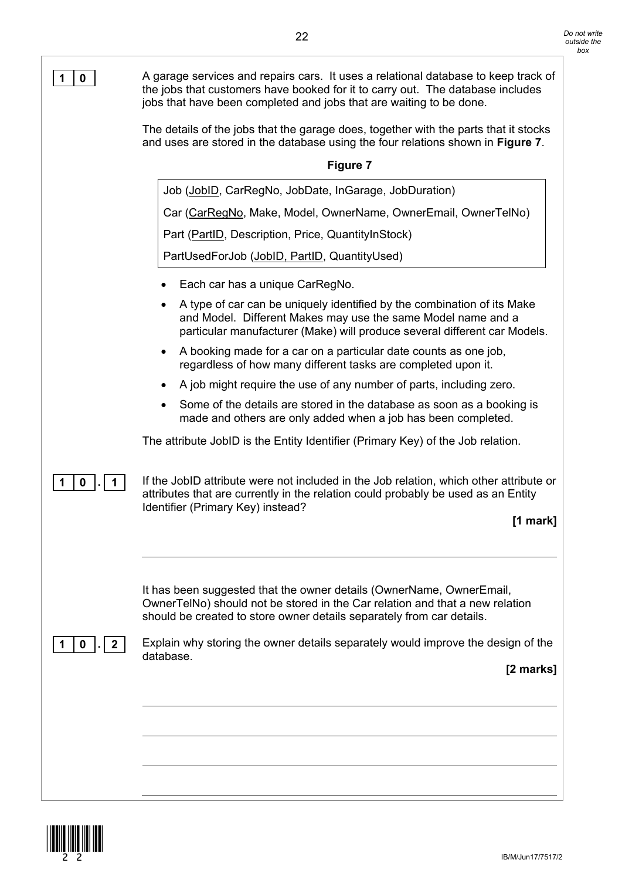| 0 | A garage services and repairs cars. It uses a relational database to keep track of<br>the jobs that customers have booked for it to carry out. The database includes<br>jobs that have been completed and jobs that are waiting to be done. |
|---|---------------------------------------------------------------------------------------------------------------------------------------------------------------------------------------------------------------------------------------------|
|   | The details of the jobs that the garage does, together with the parts that it stocks<br>and uses are stored in the database using the four relations shown in Figure 7.                                                                     |
|   | <b>Figure 7</b>                                                                                                                                                                                                                             |
|   | Job (JobID, CarRegNo, JobDate, InGarage, JobDuration)                                                                                                                                                                                       |
|   | Car (CarRegNo, Make, Model, OwnerName, OwnerEmail, OwnerTelNo)                                                                                                                                                                              |
|   | Part (PartID, Description, Price, QuantityInStock)                                                                                                                                                                                          |
|   | PartUsedForJob (JobID, PartID, QuantityUsed)                                                                                                                                                                                                |
|   | Each car has a unique CarRegNo.                                                                                                                                                                                                             |
|   | A type of car can be uniquely identified by the combination of its Make<br>and Model. Different Makes may use the same Model name and a<br>particular manufacturer (Make) will produce several different car Models.                        |
|   | A booking made for a car on a particular date counts as one job,<br>$\bullet$<br>regardless of how many different tasks are completed upon it.                                                                                              |
|   | A job might require the use of any number of parts, including zero.<br>$\bullet$                                                                                                                                                            |
|   | Some of the details are stored in the database as soon as a booking is<br>made and others are only added when a job has been completed.                                                                                                     |
|   | The attribute JobID is the Entity Identifier (Primary Key) of the Job relation.                                                                                                                                                             |
| 0 | If the JobID attribute were not included in the Job relation, which other attribute or<br>attributes that are currently in the relation could probably be used as an Entity<br>Identifier (Primary Key) instead?                            |
|   | $[1$ mark]                                                                                                                                                                                                                                  |
|   |                                                                                                                                                                                                                                             |
|   | It has been suggested that the owner details (OwnerName, OwnerEmail,<br>OwnerTelNo) should not be stored in the Car relation and that a new relation<br>should be created to store owner details separately from car details.               |
| 0 | Explain why storing the owner details separately would improve the design of the                                                                                                                                                            |
|   | database.<br>[2 marks]                                                                                                                                                                                                                      |
|   |                                                                                                                                                                                                                                             |
|   |                                                                                                                                                                                                                                             |
|   |                                                                                                                                                                                                                                             |
|   |                                                                                                                                                                                                                                             |
|   |                                                                                                                                                                                                                                             |

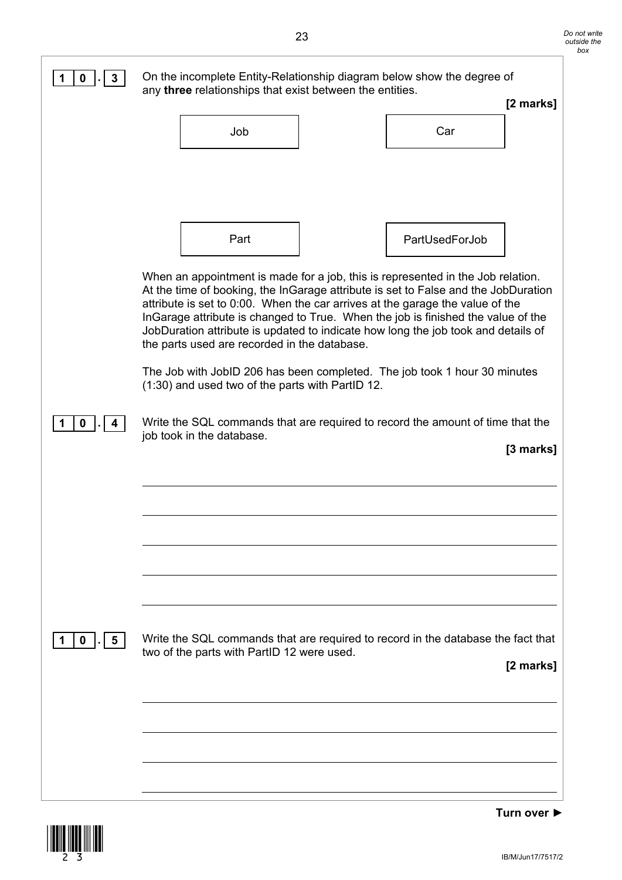| 3<br>0          | any three relationships that exist between the entities. | On the incomplete Entity-Relationship diagram below show the degree of                                                                                              |
|-----------------|----------------------------------------------------------|---------------------------------------------------------------------------------------------------------------------------------------------------------------------|
|                 |                                                          | [2 marks]                                                                                                                                                           |
|                 | Job                                                      | Car                                                                                                                                                                 |
|                 |                                                          |                                                                                                                                                                     |
|                 |                                                          |                                                                                                                                                                     |
|                 |                                                          |                                                                                                                                                                     |
|                 | Part                                                     | PartUsedForJob                                                                                                                                                      |
|                 |                                                          | When an appointment is made for a job, this is represented in the Job relation.                                                                                     |
|                 |                                                          | At the time of booking, the InGarage attribute is set to False and the JobDuration<br>attribute is set to 0:00. When the car arrives at the garage the value of the |
|                 |                                                          | InGarage attribute is changed to True. When the job is finished the value of the                                                                                    |
|                 | the parts used are recorded in the database.             | JobDuration attribute is updated to indicate how long the job took and details of                                                                                   |
|                 | (1:30) and used two of the parts with PartID 12.         | The Job with JobID 206 has been completed. The job took 1 hour 30 minutes                                                                                           |
| 0               |                                                          | Write the SQL commands that are required to record the amount of time that the                                                                                      |
|                 | job took in the database.                                | [3 marks]                                                                                                                                                           |
|                 |                                                          |                                                                                                                                                                     |
|                 |                                                          |                                                                                                                                                                     |
|                 |                                                          |                                                                                                                                                                     |
|                 |                                                          |                                                                                                                                                                     |
|                 |                                                          |                                                                                                                                                                     |
|                 |                                                          |                                                                                                                                                                     |
|                 |                                                          |                                                                                                                                                                     |
| $\sqrt{5}$<br>0 | two of the parts with PartID 12 were used.               | Write the SQL commands that are required to record in the database the fact that                                                                                    |
|                 |                                                          | [2 marks]                                                                                                                                                           |
|                 |                                                          |                                                                                                                                                                     |
|                 |                                                          |                                                                                                                                                                     |
|                 |                                                          |                                                                                                                                                                     |
|                 |                                                          |                                                                                                                                                                     |

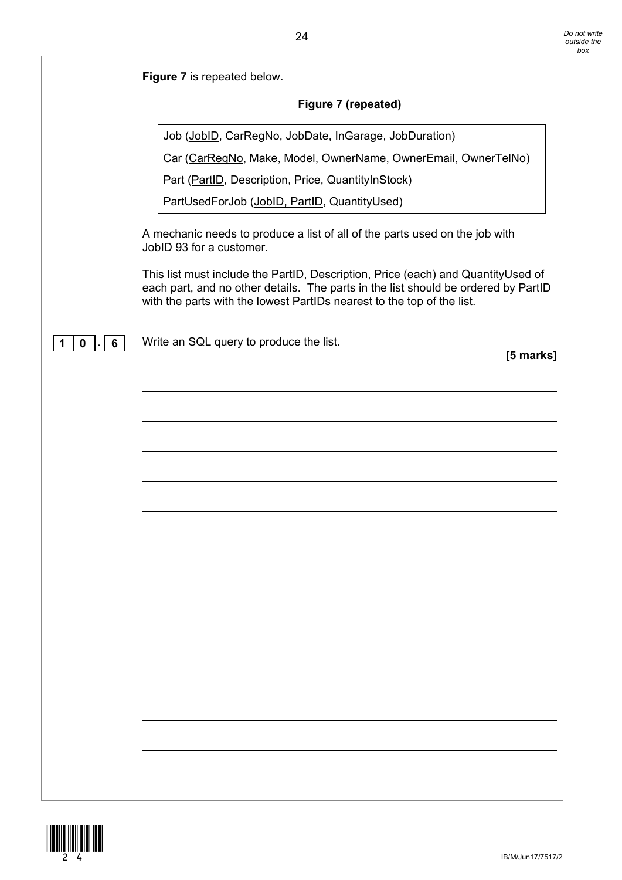| <b>Figure 7</b> is repeated below. |                     |
|------------------------------------|---------------------|
|                                    | Figure 7 (repeated) |
|                                    |                     |

Job (JobID, CarRegNo, JobDate, InGarage, JobDuration)

Car (CarRegNo, Make, Model, OwnerName, OwnerEmail, OwnerTelNo)

Part (PartID, Description, Price, QuantityInStock)

PartUsedForJob (JobID, PartID, QuantityUsed)

A mechanic needs to produce a list of all of the parts used on the job with JobID 93 for a customer.

This list must include the PartID, Description, Price (each) and QuantityUsed of each part, and no other details. The parts in the list should be ordered by PartID with the parts with the lowest PartIDs nearest to the top of the list.

**1 0 . 6** Write an SQL query to produce the list.

**[5 marks]**

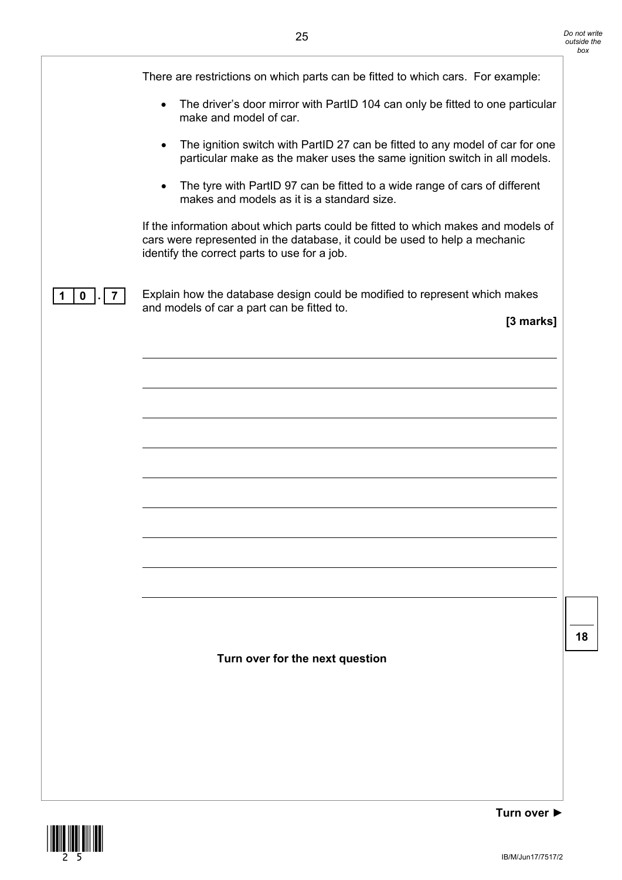There are restrictions on which parts can be fitted to which cars. For example: • The driver's door mirror with PartID 104 can only be fitted to one particular make and model of car. • The ignition switch with PartID 27 can be fitted to any model of car for one particular make as the maker uses the same ignition switch in all models. • The tyre with PartID 97 can be fitted to a wide range of cars of different makes and models as it is a standard size. If the information about which parts could be fitted to which makes and models of cars were represented in the database, it could be used to help a mechanic identify the correct parts to use for a job. **1 0 . 7** Explain how the database design could be modified to represent which makes and models of car a part can be fitted to. **[3 marks] Turn over for the next question**

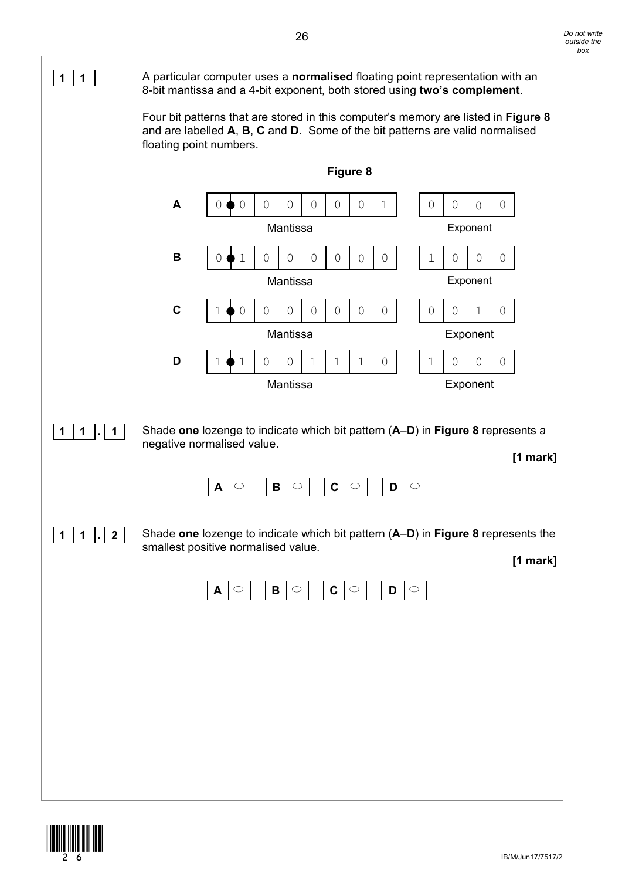

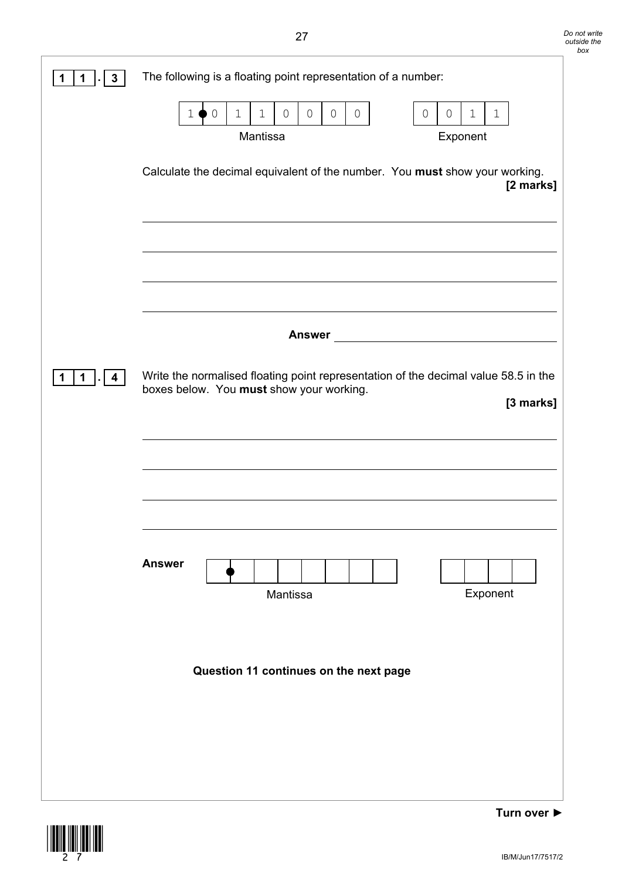| 3 | The following is a floating point representation of a number:                                                                                                                                                  |
|---|----------------------------------------------------------------------------------------------------------------------------------------------------------------------------------------------------------------|
|   | $\mathsf{O}$<br>$\mathsf{O}\xspace$<br>$\circ$<br>$\mathsf{O}$<br>$\overline{0}$<br>$\mathbf 1$<br>$\mathbf 1$<br>$\circ$<br>$\mathsf{O}$<br>$\mathbf 1$<br>$\mathbf 1$<br>$\mathbf 1$<br>Mantissa<br>Exponent |
|   | Calculate the decimal equivalent of the number. You must show your working.<br>[2 marks]                                                                                                                       |
|   |                                                                                                                                                                                                                |
|   |                                                                                                                                                                                                                |
|   | <b>Answer</b>                                                                                                                                                                                                  |
| 4 | Write the normalised floating point representation of the decimal value 58.5 in the<br>boxes below. You must show your working.<br>[3 marks]                                                                   |
|   |                                                                                                                                                                                                                |
|   | <b>Answer</b><br>Exponent<br>Mantissa                                                                                                                                                                          |
|   | Question 11 continues on the next page                                                                                                                                                                         |
|   |                                                                                                                                                                                                                |
|   |                                                                                                                                                                                                                |